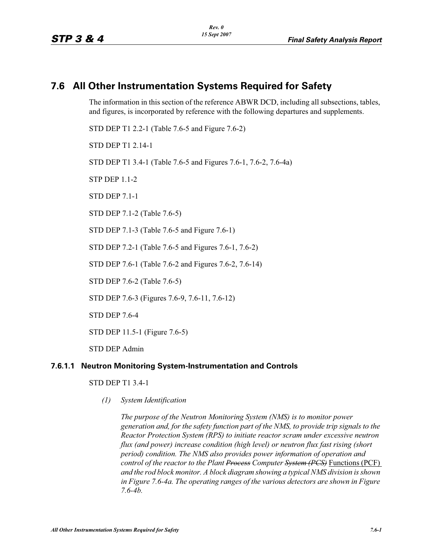# **7.6 All Other Instrumentation Systems Required for Safety**

The information in this section of the reference ABWR DCD, including all subsections, tables, and figures, is incorporated by reference with the following departures and supplements.

STD DEP T1 2.2-1 (Table 7.6-5 and Figure 7.6-2)

STD DEP T1 2.14-1

STD DEP T1 3.4-1 (Table 7.6-5 and Figures 7.6-1, 7.6-2, 7.6-4a)

STP DEP 1.1-2

STD DEP 7.1-1

STD DEP 7.1-2 (Table 7.6-5)

STD DEP 7.1-3 (Table 7.6-5 and Figure 7.6-1)

STD DEP 7.2-1 (Table 7.6-5 and Figures 7.6-1, 7.6-2)

STD DEP 7.6-1 (Table 7.6-2 and Figures 7.6-2, 7.6-14)

STD DEP 7.6-2 (Table 7.6-5)

STD DEP 7.6-3 (Figures 7.6-9, 7.6-11, 7.6-12)

STD DEP 7.6-4

STD DEP 11.5-1 (Figure 7.6-5)

STD DEP Admin

## **7.6.1.1 Neutron Monitoring System-Instrumentation and Controls**

STD DEP T1 3.4-1

*(1) System Identification*

*The purpose of the Neutron Monitoring System (NMS) is to monitor power generation and, for the safety function part of the NMS, to provide trip signals to the Reactor Protection System (RPS) to initiate reactor scram under excessive neutron flux (and power) increase condition (high level) or neutron flux fast rising (short period) condition. The NMS also provides power information of operation and control of the reactor to the Plant Process Computer System (PCS)* Functions (PCF) *and the rod block monitor. A block diagram showing a typical NMS division is shown in Figure 7.6-4a. The operating ranges of the various detectors are shown in Figure 7.6-4b.*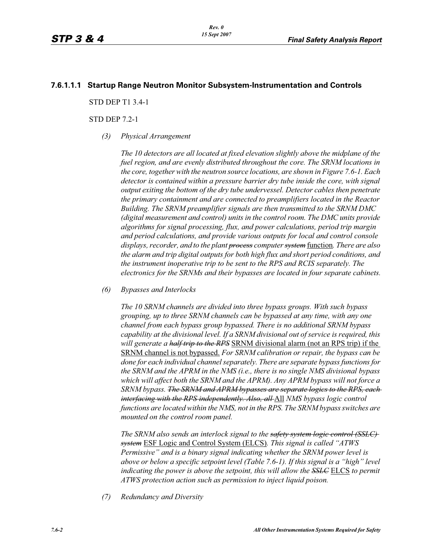#### **7.6.1.1.1 Startup Range Neutron Monitor Subsystem-Instrumentation and Controls**

STD DEP T1 3.4-1

#### STD DEP 7.2-1

*(3) Physical Arrangement*

*The 10 detectors are all located at fixed elevation slightly above the midplane of the fuel region, and are evenly distributed throughout the core. The SRNM locations in the core, together with the neutron source locations, are shown in Figure 7.6-1. Each detector is contained within a pressure barrier dry tube inside the core, with signal output exiting the bottom of the dry tube undervessel. Detector cables then penetrate the primary containment and are connected to preamplifiers located in the Reactor Building. The SRNM preamplifier signals are then transmitted to the SRNM DMC (digital measurement and control) units in the control room. The DMC units provide algorithms for signal processing, flux, and power calculations, period trip margin and period calculations, and provide various outputs for local and control console displays, recorder, and to the plant process computer system* function*. There are also the alarm and trip digital outputs for both high flux and short period conditions, and the instrument inoperative trip to be sent to the RPS and RCIS separately. The electronics for the SRNMs and their bypasses are located in four separate cabinets.*

*(6) Bypasses and Interlocks*

*The 10 SRNM channels are divided into three bypass groups. With such bypass grouping, up to three SRNM channels can be bypassed at any time, with any one channel from each bypass group bypassed. There is no additional SRNM bypass capability at the divisional level. If a SRNM divisional out of service is required, this will generate a half trip to the RPS* SRNM divisional alarm (not an RPS trip) if the SRNM channel is not bypassed. *For SRNM calibration or repair, the bypass can be done for each individual channel separately. There are separate bypass functions for the SRNM and the APRM in the NMS (i.e., there is no single NMS divisional bypass which will affect both the SRNM and the APRM). Any APRM bypass will not force a SRNM bypass. The SRNM and APRM bypasses are separate logics to the RPS, each interfacing with the RPS independently. Also, all* All *NMS bypass logic control functions are located within the NMS, not in the RPS. The SRNM bypass switches are mounted on the control room panel.*

*The SRNM also sends an interlock signal to the safety system logic control (SSLC) system* ESF Logic and Control System (ELCS)*. This signal is called "ATWS Permissive" and is a binary signal indicating whether the SRNM power level is above or below a specific setpoint level (Table 7.6-1). If this signal is a "high" level indicating the power is above the setpoint, this will allow the SSLC ELCS to permit ATWS protection action such as permission to inject liquid poison.*

*(7) Redundancy and Diversity*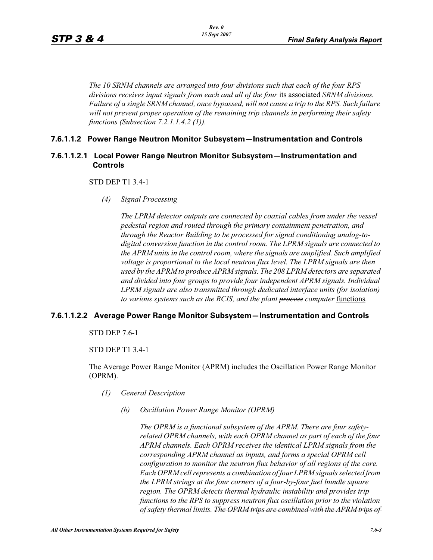*The 10 SRNM channels are arranged into four divisions such that each of the four RPS divisions receives input signals from each and all of the four* its associated *SRNM divisions. Failure of a single SRNM channel, once bypassed, will not cause a trip to the RPS. Such failure will not prevent proper operation of the remaining trip channels in performing their safety functions (Subsection 7.2.1.1.4.2 (1)).*

# **7.6.1.1.2 Power Range Neutron Monitor Subsystem—Instrumentation and Controls**

# **7.6.1.1.2.1 Local Power Range Neutron Monitor Subsystem—Instrumentation and Controls**

#### STD DEP T1 3.4-1

*(4) Signal Processing*

*The LPRM detector outputs are connected by coaxial cables from under the vessel pedestal region and routed through the primary containment penetration, and through the Reactor Building to be processed for signal conditioning analog-todigital conversion function in the control room. The LPRM signals are connected to the APRM units in the control room, where the signals are amplified. Such amplified voltage is proportional to the local neutron flux level. The LPRM signals are then used by the APRM to produce APRM signals. The 208 LPRM detectors are separated and divided into four groups to provide four independent APRM signals. Individual LPRM signals are also transmitted through dedicated interface units (for isolation) to various systems such as the RCIS, and the plant process computer functions.* 

## **7.6.1.1.2.2 Average Power Range Monitor Subsystem—Instrumentation and Controls**

STD DEP 7.6-1

STD DEP T1 3.4-1

The Average Power Range Monitor (APRM) includes the Oscillation Power Range Monitor (OPRM).

- *(1) General Description*
	- *(b) Oscillation Power Range Monitor (OPRM)*

*The OPRM is a functional subsystem of the APRM. There are four safetyrelated OPRM channels, with each OPRM channel as part of each of the four APRM channels. Each OPRM receives the identical LPRM signals from the corresponding APRM channel as inputs, and forms a special OPRM cell configuration to monitor the neutron flux behavior of all regions of the core. Each OPRM cell represents a combination of four LPRM signals selected from the LPRM strings at the four corners of a four-by-four fuel bundle square region. The OPRM detects thermal hydraulic instability and provides trip functions to the RPS to suppress neutron flux oscillation prior to the violation of safety thermal limits. The OPRM trips are combined with the APRM trips of*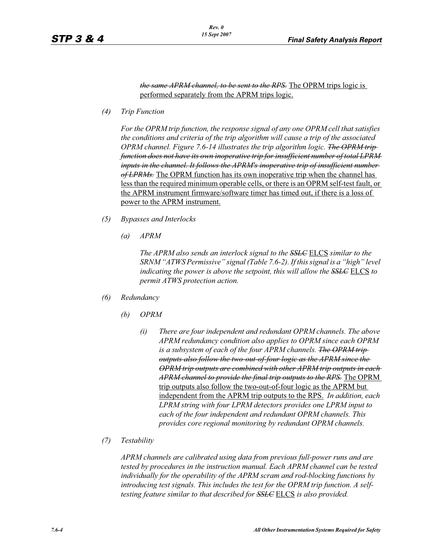*the same APRM channel, to be sent to the RPS.* The OPRM trips logic is performed separately from the APRM trips logic.

*(4) Trip Function*

*For the OPRM trip function, the response signal of any one OPRM cell that satisfies the conditions and criteria of the trip algorithm will cause a trip of the associated OPRM channel. Figure 7.6-14 illustrates the trip algorithm logic. The OPRM trip function does not have its own inoperative trip for insufficient number of total LPRM inputs in the channel. It follows the APRM's inoperative trip of insufficient number of LPRMs.* The OPRM function has its own inoperative trip when the channel has less than the required minimum operable cells, or there is an OPRM self-test fault, or the APRM instrument firmware/software timer has timed out, if there is a loss of power to the APRM instrument.

- *(5) Bypasses and Interlocks*
	- *(a) APRM*

*The APRM also sends an interlock signal to the SSLC* ELCS *similar to the SRNM "ATWS Permissive" signal (Table 7.6-2). If this signal is a "high" level indicating the power is above the setpoint, this will allow the SSLC* ELCS *to permit ATWS protection action.*

- *(6) Redundancy*
	- *(b) OPRM*
		- *(i) There are four independent and redundant OPRM channels. The above APRM redundancy condition also applies to OPRM since each OPRM*  is a subsystem of each of the four APRM channels. The OPRM trip*outputs also follow the two-out-of-four logic as the APRM since the OPRM trip outputs are combined with other APRM trip outputs in each APRM channel to provide the final trip outputs to the RPS.* The OPRM trip outputs also follow the two-out-of-four logic as the APRM but independent from the APRM trip outputs to the RPS. *In addition, each LPRM string with four LPRM detectors provides one LPRM input to each of the four independent and redundant OPRM channels. This provides core regional monitoring by redundant OPRM channels.*
- *(7) Testability*

*APRM channels are calibrated using data from previous full-power runs and are tested by procedures in the instruction manual. Each APRM channel can be tested individually for the operability of the APRM scram and rod-blocking functions by introducing test signals. This includes the test for the OPRM trip function. A selftesting feature similar to that described for SSLC* ELCS *is also provided.*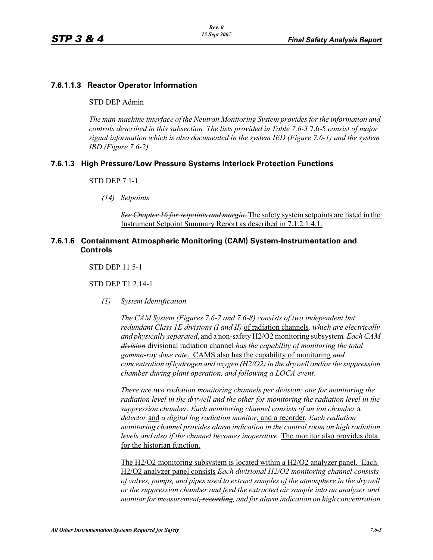# **7.6.1.1.3 Reactor Operator Information**

#### STD DEP Admin

*The man-machine interface of the Neutron Monitoring System provides for the information and controls described in this subsection. The lists provided in Table 7.6-3* 7.6-5 *consist of major signal information which is also documented in the system IED (Figure 7.6-1) and the system IBD (Figure 7.6-2).*

## **7.6.1.3 High Pressure/Low Pressure Systems Interlock Protection Functions**

#### STD DEP 7.1-1

*(14) Setpoints*

*See Chapter 16 for setpoints and margin.* The safety system setpoints are listed in the Instrument Setpoint Summary Report as described in 7.1.2.1.4.1.

# **7.6.1.6 Containment Atmospheric Monitoring (CAM) System-Instrumentation and Controls**

STD DEP 11.5-1

STD DEP T1 2.14-1

*(1) System Identification*

*The CAM System (Figures 7.6-7 and 7.6-8) consists of two independent but redundant Class 1E divisions (I and II)* of radiation channels*, which are electrically and physically separated*, and a non-safety H2/O2 monitoring subsystem*. Each CAM division* divisional radiation channel *has the capability of monitoring the total gamma-ray dose rate*. CAMS also has the capability of monitoring *and concentration of hydrogen and oxygen (H2/O2) in the drywell and/or the suppression chamber during plant operation, and following a LOCA event.* 

*There are two radiation monitoring channels per division; one for monitoring the radiation level in the drywell and the other for monitoring the radiation level in the suppression chamber. Each monitoring channel consists of an ion chamber* a *detector* and *a digital log radiation monitor*, and a recorder*. Each radiation monitoring channel provides alarm indication in the control room on high radiation levels and also if the channel becomes inoperative.* The monitor also provides data for the historian function.

The H2/O2 monitoring subsystem is located within a H2/O2 analyzer panel. Each H2/O2 analyzer panel consists *Each divisional H2/O2 monitoring channel consists of valves, pumps, and pipes used to extract samples of the atmosphere in the drywell or the suppression chamber and feed the extracted air sample into an analyzer and monitor for measurement, recording, and for alarm indication on high concentration*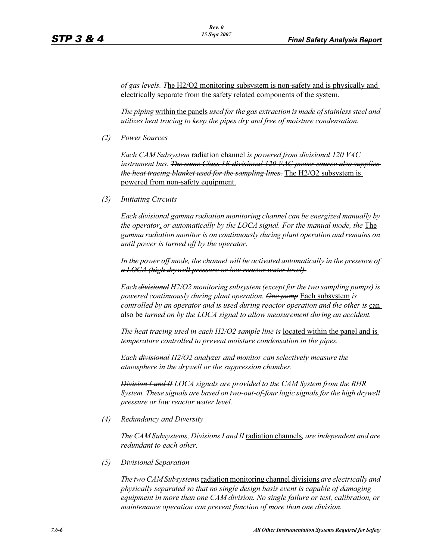*of gas levels. T*he H2/O2 monitoring subsystem is non-safety and is physically and electrically separate from the safety related components of the system.

*The piping* within the panels *used for the gas extraction is made of stainless steel and utilizes heat tracing to keep the pipes dry and free of moisture condensation.*

*(2) Power Sources*

*Each CAM Subsystem* radiation channel *is powered from divisional 120 VAC instrument bus. The same Class 1E divisional 120 VAC power source also supplies the heat tracing blanket used for the sampling lines.* The H2/O2 subsystem is powered from non-safety equipment.

*(3) Initiating Circuits*

*Each divisional gamma radiation monitoring channel can be energized manually by the operator*. *or automatically by the LOCA signal. For the manual mode, the* The *gamma radiation monitor is on continuously during plant operation and remains on until power is turned off by the operator.*

*In the power off mode, the channel will be activated automatically in the presence of a LOCA (high drywell pressure or low reactor water level).*

*Each divisional H2/O2 monitoring subsystem (except for the two sampling pumps) is powered continuously during plant operation. One pump* Each subsystem *is controlled by an operator and is used during reactor operation and the other is* can also be *turned on by the LOCA signal to allow measurement during an accident.*

*The heat tracing used in each H2/O2 sample line is located within the panel and is temperature controlled to prevent moisture condensation in the pipes.* 

*Each divisional H2/O2 analyzer and monitor can selectively measure the atmosphere in the drywell or the suppression chamber.*

*Division I and II LOCA signals are provided to the CAM System from the RHR System. These signals are based on two-out-of-four logic signals for the high drywell pressure or low reactor water level.*

*(4) Redundancy and Diversity*

*The CAM Subsystems, Divisions I and II* radiation channels*, are independent and are redundant to each other.*

*(5) Divisional Separation*

*The two CAM Subsystems*radiation monitoring channel divisions *are electrically and physically separated so that no single design basis event is capable of damaging equipment in more than one CAM division. No single failure or test, calibration, or maintenance operation can prevent function of more than one division.*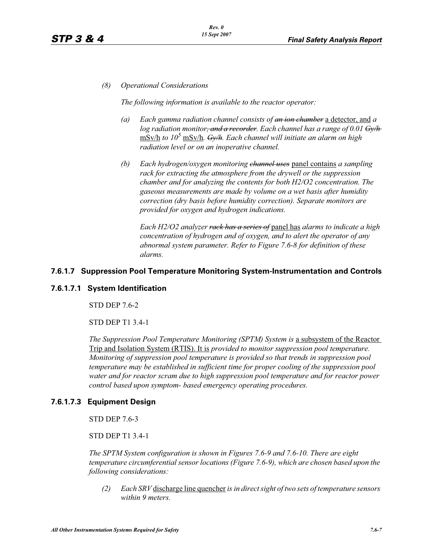#### *(8) Operational Considerations*

*The following information is available to the reactor operator:*

- *(a) Each gamma radiation channel consists of an ion chamber* a detector, and *a log radiation monitor, and a recorder. Each channel has a range of 0.01 Gy/h*  mSv/h *to 105* mSv/h*. Gy/h. Each channel will initiate an alarm on high radiation level or on an inoperative channel.*
- *(b) Each hydrogen/oxygen monitoring channel uses* panel contains *a sampling rack for extracting the atmosphere from the drywell or the suppression chamber and for analyzing the contents for both H2/O2 concentration. The gaseous measurements are made by volume on a wet basis after humidity correction (dry basis before humidity correction). Separate monitors are provided for oxygen and hydrogen indications.*

*Each H2/O2 analyzer rack has a series of* panel has *alarms to indicate a high concentration of hydrogen and of oxygen, and to alert the operator of any abnormal system parameter. Refer to Figure 7.6-8 for definition of these alarms.*

#### **7.6.1.7 Suppression Pool Temperature Monitoring System-Instrumentation and Controls**

#### **7.6.1.7.1 System Identification**

STD DEP 7.6-2

STD DEP T1 3.4-1

*The Suppression Pool Temperature Monitoring (SPTM) System is* a subsystem of the Reactor Trip and Isolation System (RTIS). It is *provided to monitor suppression pool temperature. Monitoring of suppression pool temperature is provided so that trends in suppression pool temperature may be established in sufficient time for proper cooling of the suppression pool water and for reactor scram due to high suppression pool temperature and for reactor power control based upon symptom- based emergency operating procedures.*

#### **7.6.1.7.3 Equipment Design**

STD DEP 7.6-3

STD DEP T1 3.4-1

*The SPTM System configuration is shown in Figures 7.6-9 and 7.6-10. There are eight temperature circumferential sensor locations (Figure 7.6-9), which are chosen based upon the following considerations:*

*(2) Each SRV* discharge line quencher *is in direct sight of two sets of temperature sensors within 9 meters.*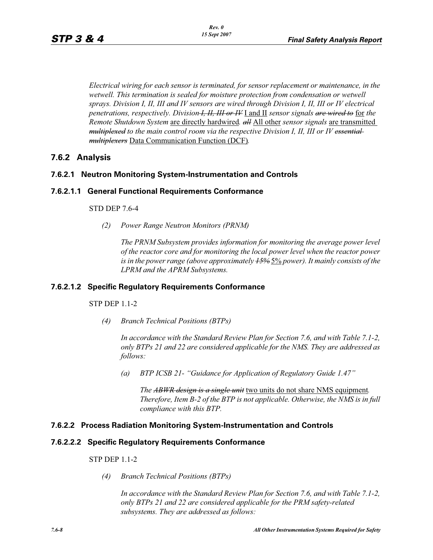*Electrical wiring for each sensor is terminated, for sensor replacement or maintenance, in the wetwell. This termination is sealed for moisture protection from condensation or wetwell sprays. Division I, II, III and IV sensors are wired through Division I, II, III or IV electrical penetrations, respectively. Division I, II, III or IV* I and II *sensor signals are wired to* for *the Remote Shutdown System* are directly hardwired*. all* All other *sensor signals* are transmitted *multiplexed to the main control room via the respective Division I, II, III or IV essential multiplexers* Data Communication Function (DCF)*.*

# **7.6.2 Analysis**

# **7.6.2.1 Neutron Monitoring System-Instrumentation and Controls**

## **7.6.2.1.1 General Functional Requirements Conformance**

## STD DEP 7.6-4

*(2) Power Range Neutron Monitors (PRNM)*

*The PRNM Subsystem provides information for monitoring the average power level of the reactor core and for monitoring the local power level when the reactor power is in the power range (above approximately 15%* 5% *power). It mainly consists of the LPRM and the APRM Subsystems.*

## **7.6.2.1.2 Specific Regulatory Requirements Conformance**

## STP DEP 1.1-2

*(4) Branch Technical Positions (BTPs)* 

*In accordance with the Standard Review Plan for Section 7.6, and with Table 7.1-2, only BTPs 21 and 22 are considered applicable for the NMS. They are addressed as follows:* 

*(a) BTP ICSB 21- "Guidance for Application of Regulatory Guide 1.47"* 

*The ABWR design is a single unit* two units do not share NMS equipment*. Therefore, Item B-2 of the BTP is not applicable. Otherwise, the NMS is in full compliance with this BTP.* 

# **7.6.2.2 Process Radiation Monitoring System-Instrumentation and Controls**

## **7.6.2.2.2 Specific Regulatory Requirements Conformance**

STP DEP 1.1-2

*(4) Branch Technical Positions (BTPs)* 

*In accordance with the Standard Review Plan for Section 7.6, and with Table 7.1-2, only BTPs 21 and 22 are considered applicable for the PRM safety-related subsystems. They are addressed as follows:*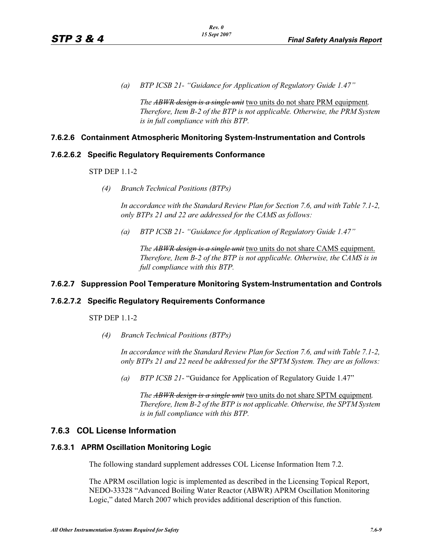*(a) BTP ICSB 21- "Guidance for Application of Regulatory Guide 1.47"*

*The ABWR design is a single unit* two units do not share PRM equipment*. Therefore, Item B-2 of the BTP is not applicable. Otherwise, the PRM System is in full compliance with this BTP.* 

## **7.6.2.6 Containment Atmospheric Monitoring System-Instrumentation and Controls**

#### **7.6.2.6.2 Specific Regulatory Requirements Conformance**

STP DEP 1.1-2

*(4) Branch Technical Positions (BTPs)* 

*In accordance with the Standard Review Plan for Section 7.6, and with Table 7.1-2, only BTPs 21 and 22 are addressed for the CAMS as follows:* 

*(a) BTP ICSB 21- "Guidance for Application of Regulatory Guide 1.47"*

*The ABWR design is a single unit* two units do not share CAMS equipment. *Therefore, Item B-2 of the BTP is not applicable. Otherwise, the CAMS is in full compliance with this BTP.* 

## **7.6.2.7 Suppression Pool Temperature Monitoring System-Instrumentation and Controls**

#### **7.6.2.7.2 Specific Regulatory Requirements Conformance**

#### STP DEP 1.1-2

*(4) Branch Technical Positions (BTPs)*

*In accordance with the Standard Review Plan for Section 7.6, and with Table 7.1-2, only BTPs 21 and 22 need be addressed for the SPTM System. They are as follows:*

*(a) BTP ICSB 21-* "Guidance for Application of Regulatory Guide 1.47"

*The ABWR design is a single unit* two units do not share SPTM equipment*. Therefore, Item B-2 of the BTP is not applicable. Otherwise, the SPTM System is in full compliance with this BTP.*

## **7.6.3 COL License Information**

#### **7.6.3.1 APRM Oscillation Monitoring Logic**

The following standard supplement addresses COL License Information Item 7.2.

The APRM oscillation logic is implemented as described in the Licensing Topical Report, NEDO-33328 "Advanced Boiling Water Reactor (ABWR) APRM Oscillation Monitoring Logic," dated March 2007 which provides additional description of this function.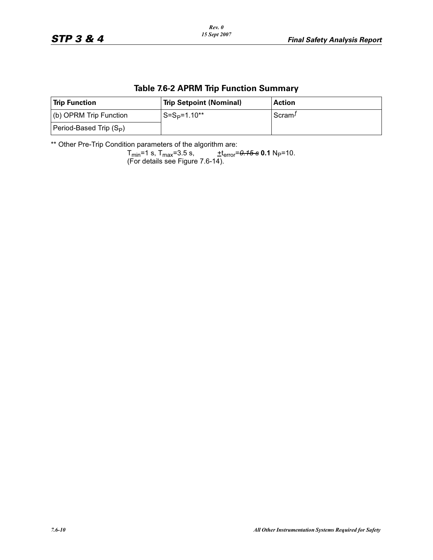# **Table 7.6-2 APRM Trip Function Summary**

| <b>Trip Function</b>                | <b>Trip Setpoint (Nominal)</b> | Action             |
|-------------------------------------|--------------------------------|--------------------|
| (b) OPRM Trip Function              | lS=S <sub>P</sub> =1.10**      | Scram <sup>J</sup> |
| Period-Based Trip (S <sub>P</sub> ) |                                |                    |

\*\* Other Pre-Trip Condition parameters of the algorithm are:

 $T_{min}$ =1 s,  $T_{max}$ =3.5 s,  $\qquad \pm t_{error}$ =<del>0.15 s</del> **0.1** N<sub>P</sub>=10.

(For details see Figure 7.6-14).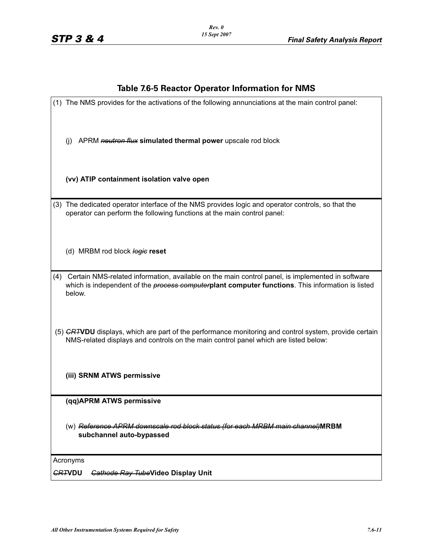# **Table 7.6-5 Reactor Operator Information for NMS**

| (1) The NMS provides for the activations of the following annunciations at the main control panel:                                                                                                                            |  |  |  |  |
|-------------------------------------------------------------------------------------------------------------------------------------------------------------------------------------------------------------------------------|--|--|--|--|
| APRM neutron flux simulated thermal power upscale rod block<br>(i)                                                                                                                                                            |  |  |  |  |
| (vv) ATIP containment isolation valve open                                                                                                                                                                                    |  |  |  |  |
| (3) The dedicated operator interface of the NMS provides logic and operator controls, so that the<br>operator can perform the following functions at the main control panel:                                                  |  |  |  |  |
| (d) MRBM rod block logie reset                                                                                                                                                                                                |  |  |  |  |
| Certain NMS-related information, available on the main control panel, is implemented in software<br>(4)<br>which is independent of the <i>process computer</i> plant computer functions. This information is listed<br>below. |  |  |  |  |
| (5) GRTVDU displays, which are part of the performance monitoring and control system, provide certain<br>NMS-related displays and controls on the main control panel which are listed below:                                  |  |  |  |  |
| (iii) SRNM ATWS permissive                                                                                                                                                                                                    |  |  |  |  |
| (qq)APRM ATWS permissive                                                                                                                                                                                                      |  |  |  |  |
| (w) Reference APRM downscale rod block status (for each MRBM main channel)MRBM<br>subchannel auto-bypassed                                                                                                                    |  |  |  |  |
| Acronyms                                                                                                                                                                                                                      |  |  |  |  |
| <b>GRTVDU</b><br>Gathode Ray TubeVideo Display Unit                                                                                                                                                                           |  |  |  |  |
|                                                                                                                                                                                                                               |  |  |  |  |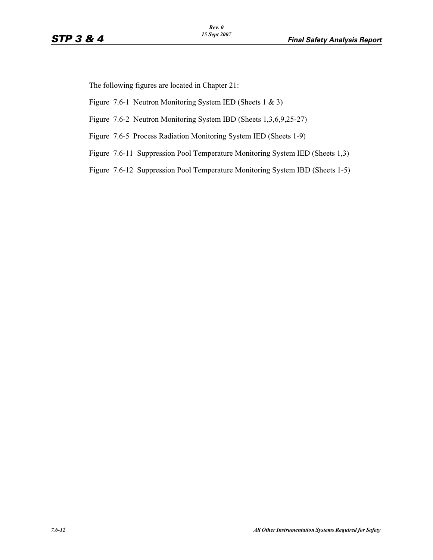The following figures are located in Chapter 21:

Figure 7.6-1 Neutron Monitoring System IED (Sheets 1 & 3)

Figure 7.6-2 Neutron Monitoring System IBD (Sheets 1,3,6,9,25-27)

Figure 7.6-5 Process Radiation Monitoring System IED (Sheets 1-9)

Figure 7.6-11 Suppression Pool Temperature Monitoring System IED (Sheets 1,3)

Figure 7.6-12 Suppression Pool Temperature Monitoring System IBD (Sheets 1-5)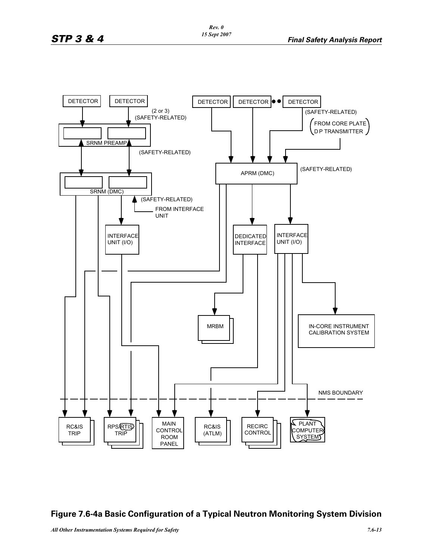

# **Figure 7.6-4a Basic Configuration of a Typical Neutron Monitoring System Division**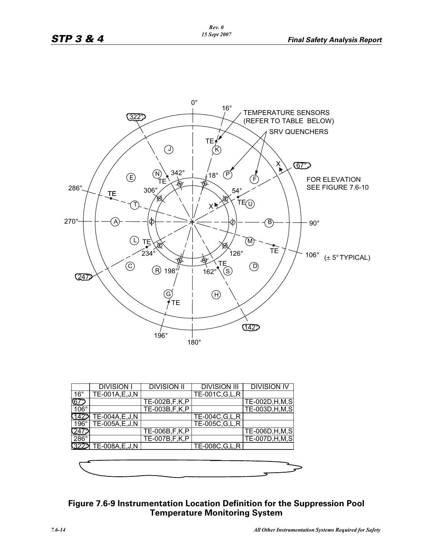

|              | <b>DIVISION I</b> | <b>DIVISION II</b> | <b>DIVISION III</b> | <b>DIVISION IV</b> |
|--------------|-------------------|--------------------|---------------------|--------------------|
| $16^{\circ}$ | TE-001A, E, J, N  |                    | TE-001C, G, L, R    |                    |
|              |                   | TE-002B, F, K, P   |                     | TE-002D, H, M, S   |
| $106^\circ$  |                   | TE-003B, F, K, P   |                     | TE-003D, H, M, S   |
|              | TE-004A, E, J, N  |                    | TE-004C, G, L, R    |                    |
| $196^\circ$  | TE-005A, E, J, N  |                    | TE-005C, G, L, R    |                    |
|              |                   | TE-006B,F,K,P      |                     | TE-006D, H, M, S   |
| $286^\circ$  |                   | TE-007B,F,K,P      |                     | TE-007D, H, M, S   |
| 13222        | TE-008A,E,J,N     |                    | TE-008C, G, L, R    |                    |
|              |                   |                    |                     |                    |
|              |                   |                    |                     |                    |



# **Figure 7.6-9 Instrumentation Location Definition for the Suppression Pool Temperature Monitoring System**